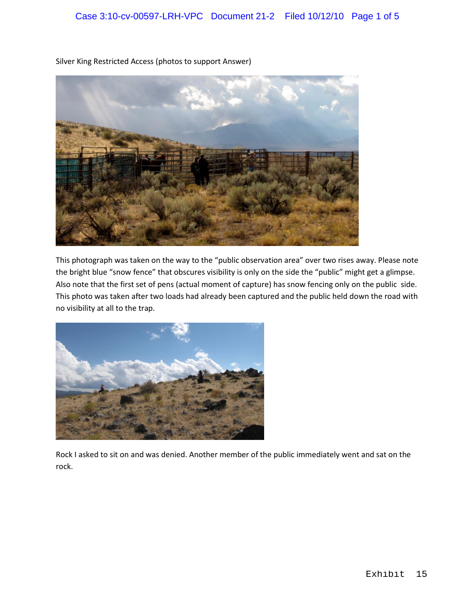

Silver King Restricted Access (photos to support Answer)

This photograph was taken on the way to the "public observation area" over two rises away. Please note the bright blue "snow fence" that obscures visibility is only on the side the "public" might get a glimpse. Also note that the first set of pens (actual moment of capture) has snow fencing only on the public side. This photo was taken after two loads had already been captured and the public held down the road with no visibility at all to the trap.



Rock I asked to sit on and was denied. Another member of the public immediately went and sat on the rock.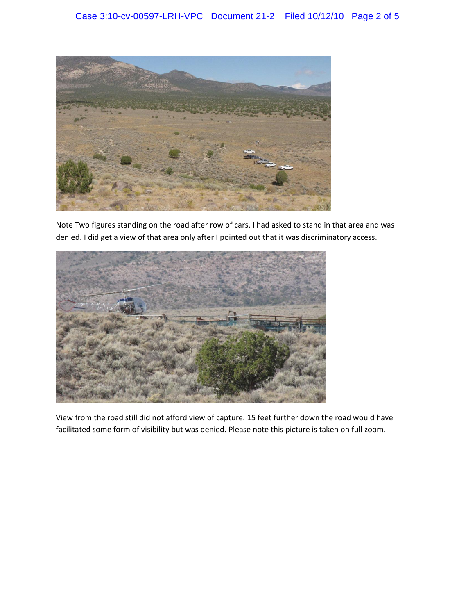

Note Two figures standing on the road after row of cars. I had asked to stand in that area and was denied. I did get a view of that area only after I pointed out that it was discriminatory access.



View from the road still did not afford view of capture. 15 feet further down the road would have facilitated some form of visibility but was denied. Please note this picture is taken on full zoom.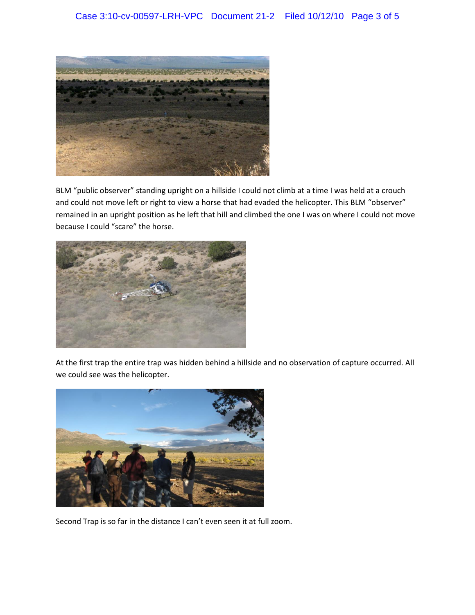

BLM "public observer" standing upright on a hillside I could not climb at a time I was held at a crouch and could not move left or right to view a horse that had evaded the helicopter. This BLM "observer" remained in an upright position as he left that hill and climbed the one I was on where I could not move because I could "scare" the horse.



At the first trap the entire trap was hidden behind a hillside and no observation of capture occurred. All we could see was the helicopter.



Second Trap is so far in the distance I can't even seen it at full zoom.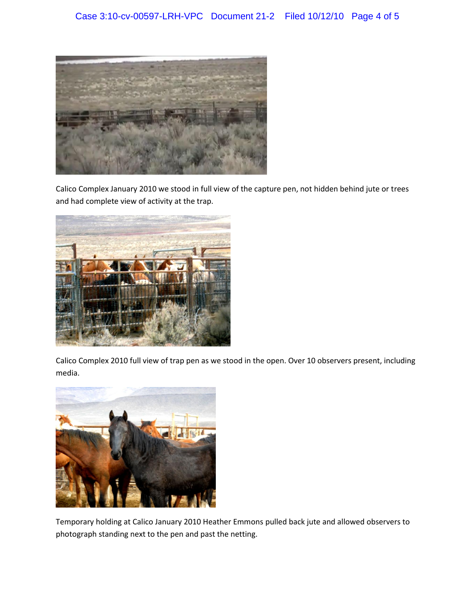

Calico Complex January 2010 we stood in full view of the capture pen, not hidden behind jute or trees and had complete view of activity at the trap.



Calico Complex 2010 full view of trap pen as we stood in the open. Over 10 observers present, including media.



Temporary holding at Calico January 2010 Heather Emmons pulled back jute and allowed observers to photograph standing next to the pen and past the netting.